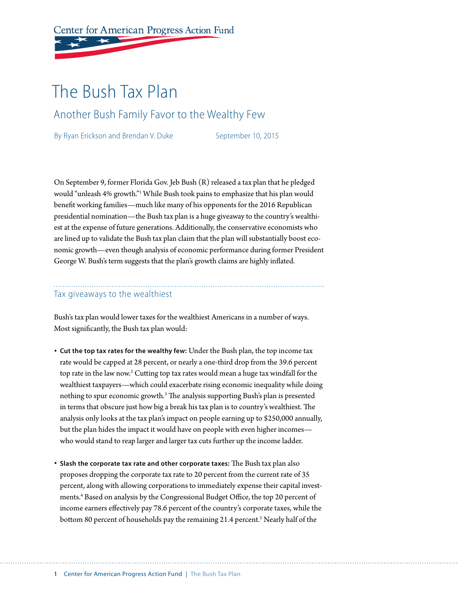Center for American Progress Action Fund

# The Bush Tax Plan

Another Bush Family Favor to the Wealthy Few

By Ryan Erickson and Brendan V. Duke September 10, 2015

On September 9, former Florida Gov. Jeb Bush (R) released a tax plan that he pledged would "unleash 4% growth."1 While Bush took pains to emphasize that his plan would benefit working families—much like many of his opponents for the 2016 Republican presidential nomination—the Bush tax plan is a huge giveaway to the country's wealthiest at the expense of future generations. Additionally, the conservative economists who are lined up to validate the Bush tax plan claim that the plan will substantially boost economic growth—even though analysis of economic performance during former President George W. Bush's term suggests that the plan's growth claims are highly inflated.

#### Tax giveaways to the wealthiest

Bush's tax plan would lower taxes for the wealthiest Americans in a number of ways. Most significantly, the Bush tax plan would:

- **Cut the top tax rates for the wealthy few:** Under the Bush plan, the top income tax rate would be capped at 28 percent, or nearly a one-third drop from the 39.6 percent top rate in the law now.<sup>2</sup> Cutting top tax rates would mean a huge tax windfall for the wealthiest taxpayers—which could exacerbate rising economic inequality while doing nothing to spur economic growth.<sup>3</sup> The analysis supporting Bush's plan is presented in terms that obscure just how big a break his tax plan is to country's wealthiest. The analysis only looks at the tax plan's impact on people earning up to \$250,000 annually, but the plan hides the impact it would have on people with even higher incomes who would stand to reap larger and larger tax cuts further up the income ladder.
- **Slash the corporate tax rate and other corporate taxes:** The Bush tax plan also proposes dropping the corporate tax rate to 20 percent from the current rate of 35 percent, along with allowing corporations to immediately expense their capital investments.4 Based on analysis by the Congressional Budget Office, the top 20 percent of income earners effectively pay 78.6 percent of the country's corporate taxes, while the bottom 80 percent of households pay the remaining 21.4 percent.<sup>5</sup> Nearly half of the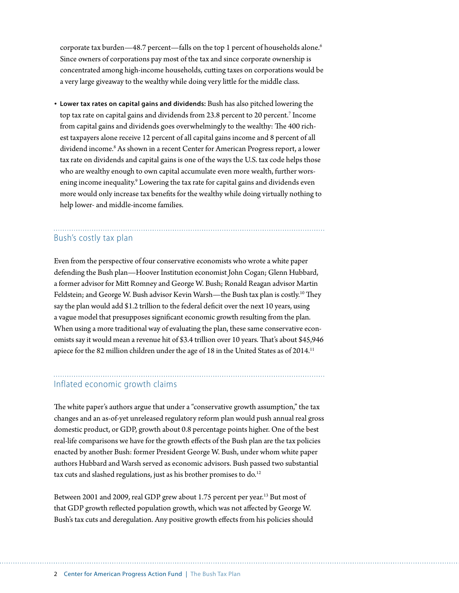corporate tax burden—48.7 percent—falls on the top 1 percent of households alone.<sup>6</sup> Since owners of corporations pay most of the tax and since corporate ownership is concentrated among high-income households, cutting taxes on corporations would be a very large giveaway to the wealthy while doing very little for the middle class.

• **Lower tax rates on capital gains and dividends:** Bush has also pitched lowering the top tax rate on capital gains and dividends from 23.8 percent to 20 percent.7 Income from capital gains and dividends goes overwhelmingly to the wealthy: The 400 richest taxpayers alone receive 12 percent of all capital gains income and 8 percent of all dividend income.<sup>8</sup> As shown in a recent Center for American Progress report, a lower tax rate on dividends and capital gains is one of the ways the U.S. tax code helps those who are wealthy enough to own capital accumulate even more wealth, further worsening income inequality.<sup>9</sup> Lowering the tax rate for capital gains and dividends even more would only increase tax benefits for the wealthy while doing virtually nothing to help lower- and middle-income families.

# Bush's costly tax plan

Even from the perspective of four conservative economists who wrote a white paper defending the Bush plan—Hoover Institution economist John Cogan; Glenn Hubbard, a former advisor for Mitt Romney and George W. Bush; Ronald Reagan advisor Martin Feldstein; and George W. Bush advisor Kevin Warsh—the Bush tax plan is costly.<sup>10</sup> They say the plan would add \$1.2 trillion to the federal deficit over the next 10 years, using a vague model that presupposes significant economic growth resulting from the plan. When using a more traditional way of evaluating the plan, these same conservative economists say it would mean a revenue hit of \$3.4 trillion over 10 years. That's about \$45,946 apiece for the 82 million children under the age of 18 in the United States as of 2014.<sup>11</sup>

## Inflated economic growth claims

The white paper's authors argue that under a "conservative growth assumption," the tax changes and an as-of-yet unreleased regulatory reform plan would push annual real gross domestic product, or GDP, growth about 0.8 percentage points higher. One of the best real-life comparisons we have for the growth effects of the Bush plan are the tax policies enacted by another Bush: former President George W. Bush, under whom white paper authors Hubbard and Warsh served as economic advisors. Bush passed two substantial tax cuts and slashed regulations, just as his brother promises to do.<sup>12</sup>

Between 2001 and 2009, real GDP grew about 1.75 percent per year.<sup>13</sup> But most of that GDP growth reflected population growth, which was not affected by George W. Bush's tax cuts and deregulation. Any positive growth effects from his policies should